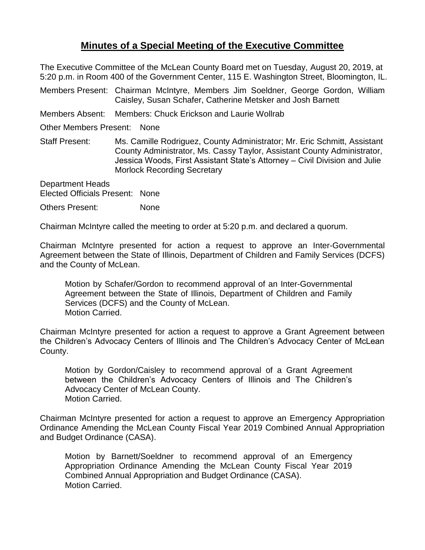## **Minutes of a Special Meeting of the Executive Committee**

The Executive Committee of the McLean County Board met on Tuesday, August 20, 2019, at 5:20 p.m. in Room 400 of the Government Center, 115 E. Washington Street, Bloomington, IL.

Members Present: Chairman McIntyre, Members Jim Soeldner, George Gordon, William Caisley, Susan Schafer, Catherine Metsker and Josh Barnett

Members Absent: Members: Chuck Erickson and Laurie Wollrab

Other Members Present: None

Staff Present: Ms. Camille Rodriguez, County Administrator; Mr. Eric Schmitt, Assistant County Administrator, Ms. Cassy Taylor, Assistant County Administrator, Jessica Woods, First Assistant State's Attorney – Civil Division and Julie Morlock Recording Secretary

Department Heads Elected Officials Present: None

Others Present: None

Chairman McIntyre called the meeting to order at 5:20 p.m. and declared a quorum.

Chairman McIntyre presented for action a request to approve an Inter-Governmental Agreement between the State of Illinois, Department of Children and Family Services (DCFS) and the County of McLean.

Motion by Schafer/Gordon to recommend approval of an Inter-Governmental Agreement between the State of Illinois, Department of Children and Family Services (DCFS) and the County of McLean. Motion Carried.

Chairman McIntyre presented for action a request to approve a Grant Agreement between the Children's Advocacy Centers of Illinois and The Children's Advocacy Center of McLean County.

Motion by Gordon/Caisley to recommend approval of a Grant Agreement between the Children's Advocacy Centers of Illinois and The Children's Advocacy Center of McLean County. Motion Carried.

Chairman McIntyre presented for action a request to approve an Emergency Appropriation Ordinance Amending the McLean County Fiscal Year 2019 Combined Annual Appropriation and Budget Ordinance (CASA).

Motion by Barnett/Soeldner to recommend approval of an Emergency Appropriation Ordinance Amending the McLean County Fiscal Year 2019 Combined Annual Appropriation and Budget Ordinance (CASA). Motion Carried.